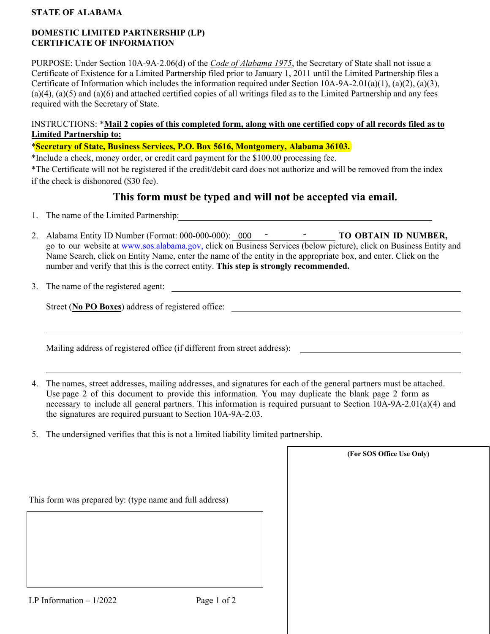#### **STATE OF ALABAMA**

### **DOMESTIC LIMITED PARTNERSHIP (LP) CERTIFICATE OF INFORMATION**

PURPOSE: Under Section 10A-9A-2.06(d) of the *Code of Alabama 1975*, the Secretary of State shall not issue a Certificate of Existence for a Limited Partnership filed prior to January 1, 2011 until the Limited Partnership files a Certificate of Information which includes the information required under Section 10A-9A-2.01(a)(1), (a)(2), (a)(3),  $(a)(4)$ ,  $(a)(5)$  and  $(a)(6)$  and attached certified copies of all writings filed as to the Limited Partnership and any fees required with the Secretary of State.

### INSTRUCTIONS: \***Mail 2 copies of this completed form, along with one certified copy of all records filed as to Limited Partnership to:**

\***Secretary of State, Business Services, P.O. Box 5616, Montgomery, Alabama 36103.**

\*Include a check, money order, or credit card payment for the \$100.00 processing fee.

\*The Certificate will not be registered if the credit/debit card does not authorize and will be removed from the index if the check is dishonored (\$30 fee).

# **This form must be typed and will not be accepted via email.**

- 1. The name of the Limited Partnership:
- 2. Alabama Entity ID Number (Format: 000-000-000): 000 **- 10 OBTAIN ID NUMBER**, go to our website at [www.sos.alabama.gov](http://www.sos.alabama.gov/), click on Business Services (below picture), click on Business Entity and Name Search, click on Entity Name, enter the name of the entity in the appropriate box, and enter. Click on the number and verify that this is the correct entity. **This step is strongly recommended.**
- 3. The name of the registered agent:

Street (**No PO Boxes**) address of registered office:

Mailing address of registered office (if different from street address):

4. The names, street addresses, mailing addresses, and signatures for each of the general partners must be attached. Use page 2 of this document to provide this information. You may duplicate the blank page 2 form as necessary to include all general partners. This information is required pursuant to Section 10A-9A-2.01(a)(4) and the signatures are required pursuant to Section 10A-9A-2.03.

**(For SOS Office Use Only)**

5. The undersigned verifies that this is not a limited liability limited partnership.

| This form was prepared by: (type name and full address) |  |
|---------------------------------------------------------|--|
|                                                         |  |
|                                                         |  |
|                                                         |  |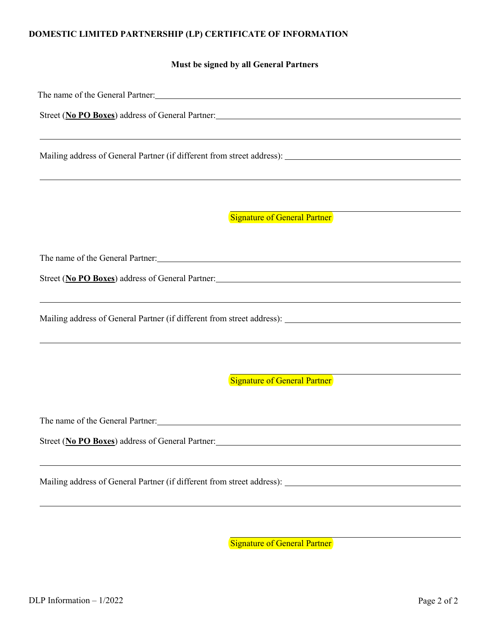# **DOMESTIC LIMITED PARTNERSHIP (LP) CERTIFICATE OF INFORMATION**

**Must be signed by all General Partners**

|                                                                         | The name of the General Partner: 1998 and 2009 and 2009 and 2009 and 2009 and 2009 and 2009 and 2009 and 2009 and 2009 and 2009 and 2009 and 2009 and 2009 and 2009 and 2009 and 2009 and 2009 and 2009 and 2009 and 2009 and  |
|-------------------------------------------------------------------------|--------------------------------------------------------------------------------------------------------------------------------------------------------------------------------------------------------------------------------|
|                                                                         | Street (No PO Boxes) address of General Partner: Manual Communication of the Street (No PO Boxes) and Tartner Manual Communication of General Partner.                                                                         |
|                                                                         | ,我们也不会有什么。""我们的人,我们也不会有什么?""我们的人,我们也不会有什么?""我们的人,我们也不会有什么?""我们的人,我们也不会有什么?""我们的人                                                                                                                                               |
|                                                                         |                                                                                                                                                                                                                                |
|                                                                         | Signature of General Partner                                                                                                                                                                                                   |
|                                                                         | The name of the General Partner: North Contract to the Contract of the Contract of the Contract of the Contract of the Contract of the Contract of the Contract of the Contract of the Contract of the Contract of the Contrac |
|                                                                         |                                                                                                                                                                                                                                |
|                                                                         | ,我们也不会有什么。""我们的人,我们也不会有什么?""我们的人,我们也不会有什么?""我们的人,我们也不会有什么?""我们的人,我们也不会有什么?""我们的人                                                                                                                                               |
|                                                                         |                                                                                                                                                                                                                                |
|                                                                         | Signature of General Partner                                                                                                                                                                                                   |
| The name of the General Partner: North Contract of the General Partner: |                                                                                                                                                                                                                                |
| Street (No PO Boxes) address of General Partner:                        |                                                                                                                                                                                                                                |
|                                                                         |                                                                                                                                                                                                                                |
|                                                                         |                                                                                                                                                                                                                                |
|                                                                         |                                                                                                                                                                                                                                |

Signature of General Partner